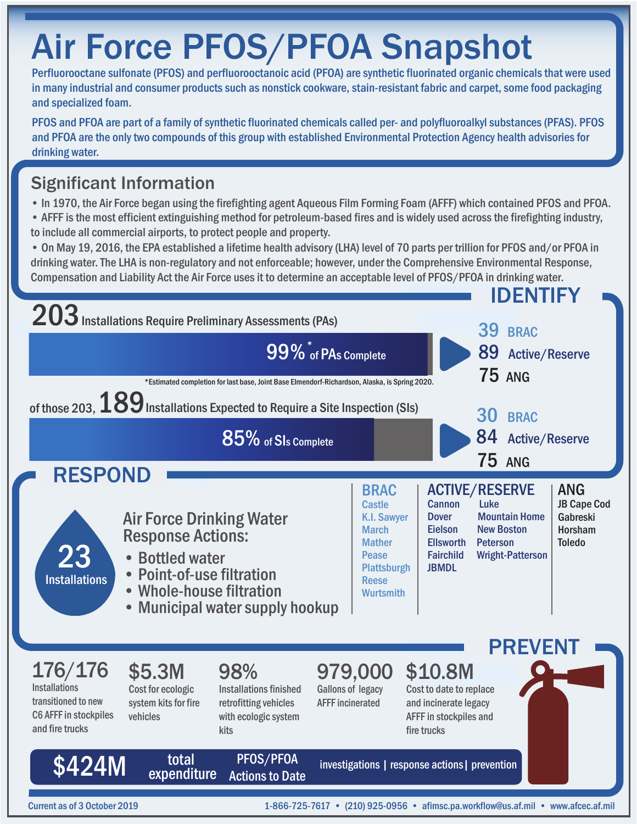# Air Force PFOS/PFOA Snapshot

Perfluorooctane sulfonate (PFOS) and perfluorooctanoic acid (PFOA) are synthetic fluorinated organic chemicals that were used in many industrial and consumer products such as nonstick cookware, stain-resistant fabric and carpet, some food packaging and specialized foam.

PFOS and PFOA are part of a family of synthetic fluorinated chemicals called per- and polyfluoroalkyl substances (PFAS). PFOS and PFOA are the only two compounds of this group with established Environmental Protection Agency health advisories for drinking water.

## Significant Information

- In 1970, the Air Force began using the firefighting agent Aqueous Film Forming Foam (AFFF) which contained PFOS and PFOA.
- AFFF is the most efficient extinguishing method for petroleum-based fires and is widely used across the firefighting industry, to include all commercial airports, to protect people and property.
- On May 19, 2016, the EPA established a lifetime health advisory (LHA) level of 70 parts per trillion for PFOS and/or PFOA in drinking water. The LHA is non-regulatory and not enforceable; however, under the Comprehensive Environmental Response, Compensation and Liability Act the Air Force uses it to determine an acceptable level of PFOS/PFOA in drinking water.